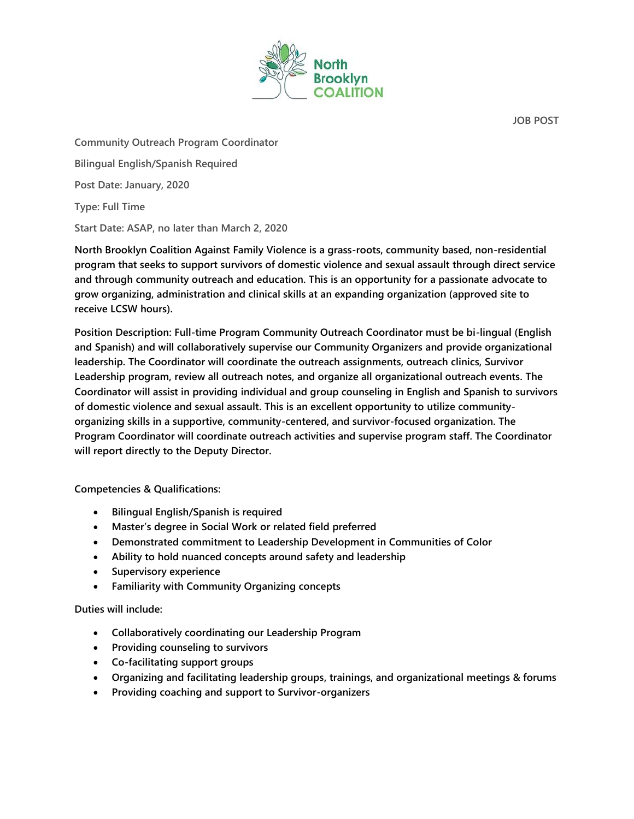

**JOB POST**

**Community Outreach Program Coordinator Bilingual English/Spanish Required Post Date: January, 2020 Type: Full Time**

**Start Date: ASAP, no later than March 2, 2020**

**North Brooklyn Coalition Against Family Violence is a grass-roots, community based, non-residential program that seeks to support survivors of domestic violence and sexual assault through direct service and through community outreach and education. This is an opportunity for a passionate advocate to grow organizing, administration and clinical skills at an expanding organization (approved site to receive LCSW hours).**

**Position Description: Full-time Program Community Outreach Coordinator must be bi-lingual (English and Spanish) and will collaboratively supervise our Community Organizers and provide organizational leadership. The Coordinator will coordinate the outreach assignments, outreach clinics, Survivor Leadership program, review all outreach notes, and organize all organizational outreach events. The Coordinator will assist in providing individual and group counseling in English and Spanish to survivors of domestic violence and sexual assault. This is an excellent opportunity to utilize communityorganizing skills in a supportive, community-centered, and survivor-focused organization. The Program Coordinator will coordinate outreach activities and supervise program staff. The Coordinator will report directly to the Deputy Director.**

**Competencies & Qualifications:**

- **Bilingual English/Spanish is required**
- **Master's degree in Social Work or related field preferred**
- **Demonstrated commitment to Leadership Development in Communities of Color**
- **Ability to hold nuanced concepts around safety and leadership**
- **Supervisory experience**
- **Familiarity with Community Organizing concepts**

## **Duties will include:**

- **Collaboratively coordinating our Leadership Program**
- **Providing counseling to survivors**
- **Co-facilitating support groups**
- **Organizing and facilitating leadership groups, trainings, and organizational meetings & forums**
- **Providing coaching and support to Survivor-organizers**